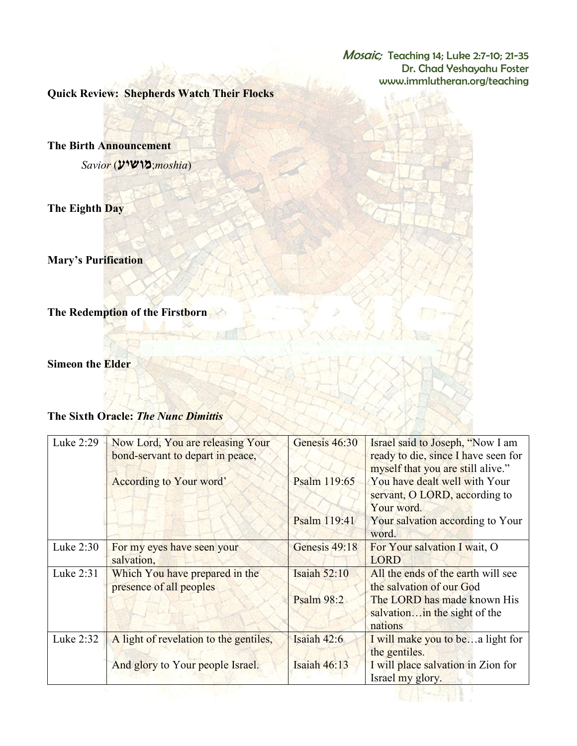Mosaic; Teaching 14; Luke 2:7-10; 21-35 Dr. Chad Yeshayahu Foster www.immlutheran.org/teaching

Quick Review: Shepherds Watch Their Flocks

The Birth Announcement

Savior (מושיע;moshia)

The Eighth Day

Mary's Purification

The Redemption of the Firstborn

Simeon the Elder

## The Sixth Oracle: The Nunc Dimittis

 $\mathcal{F}$ 

| Luke 2:29 | Now Lord, You are releasing Your<br>bond-servant to depart in peace, | Genesis 46:30       | Israel said to Joseph, "Now I am<br>ready to die, since I have seen for<br>myself that you are still alive." |
|-----------|----------------------------------------------------------------------|---------------------|--------------------------------------------------------------------------------------------------------------|
|           | According to Your word'                                              | Psalm 119:65        | You have dealt well with Your<br>servant, O LORD, according to<br>Your word.                                 |
|           |                                                                      | Psalm 119:41        | Your salvation according to Your<br>word.                                                                    |
| Luke 2:30 | For my eyes have seen your<br>salvation,                             | Genesis 49:18       | For Your salvation I wait, O<br>LORD                                                                         |
| Luke 2:31 | Which You have prepared in the<br>presence of all peoples            | <b>Isaiah 52:10</b> | All the ends of the earth will see<br>the salvation of our God                                               |
|           |                                                                      | Psalm 98:2          | The LORD has made known His<br>salvation in the sight of the<br>nations                                      |
| Luke 2:32 | A light of revelation to the gentiles,                               | Isaiah $42:6$       | I will make you to bea light for<br>the gentiles.                                                            |
|           | And glory to Your people Israel.                                     | Isaiah $46:13$      | I will place salvation in Zion for<br>Israel my glory.                                                       |